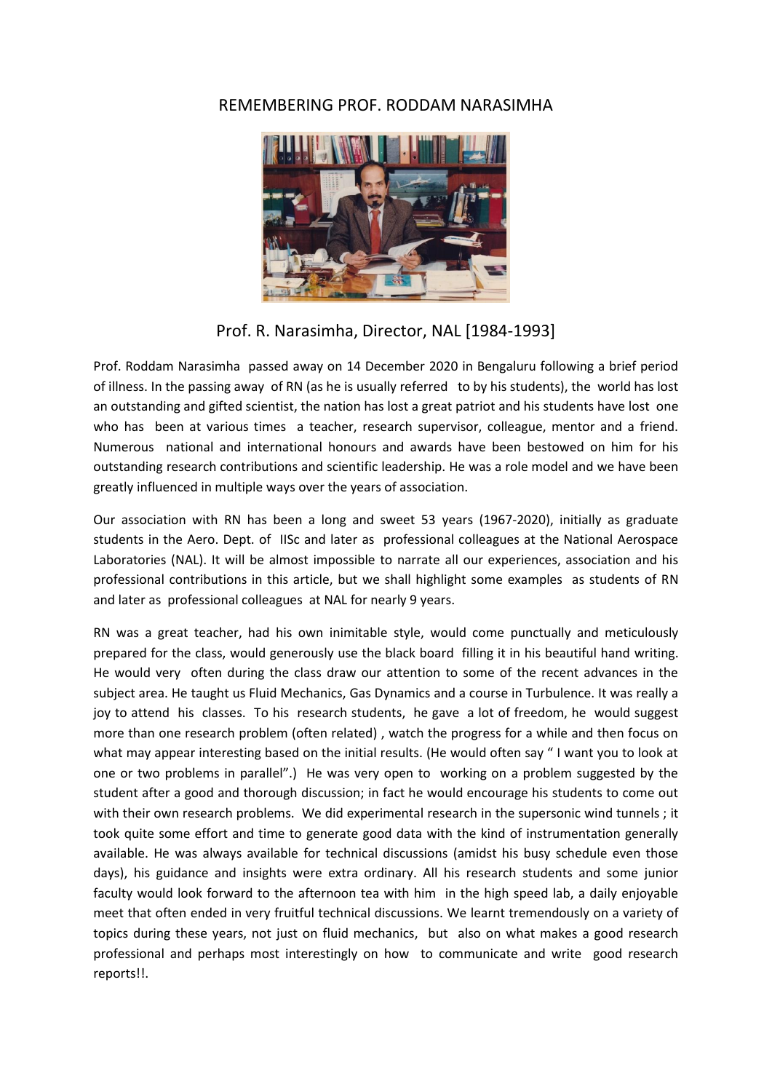## REMEMBERING PROF. RODDAM NARASIMHA



Prof. R. Narasimha, Director, NAL [1984-1993]

Prof. Roddam Narasimha passed away on 14 December 2020 in Bengaluru following a brief period of illness. In the passing away of RN (as he is usually referred to by his students), the world has lost an outstanding and gifted scientist, the nation has lost a great patriot and his students have lost one who has been at various times a teacher, research supervisor, colleague, mentor and a friend. Numerous national and international honours and awards have been bestowed on him for his outstanding research contributions and scientific leadership. He was a role model and we have been greatly influenced in multiple ways over the years of association.

Our association with RN has been a long and sweet 53 years (1967-2020), initially as graduate students in the Aero. Dept. of IISc and later as professional colleagues at the National Aerospace Laboratories (NAL). It will be almost impossible to narrate all our experiences, association and his professional contributions in this article, but we shall highlight some examples as students of RN and later as professional colleagues at NAL for nearly 9 years.

RN was a great teacher, had his own inimitable style, would come punctually and meticulously prepared for the class, would generously use the black board filling it in his beautiful hand writing. He would very often during the class draw our attention to some of the recent advances in the subject area. He taught us Fluid Mechanics, Gas Dynamics and a course in Turbulence. It was really a joy to attend his classes. To his research students, he gave a lot of freedom, he would suggest more than one research problem (often related) , watch the progress for a while and then focus on what may appear interesting based on the initial results. (He would often say " I want you to look at one or two problems in parallel".) He was very open to working on a problem suggested by the student after a good and thorough discussion; in fact he would encourage his students to come out with their own research problems. We did experimental research in the supersonic wind tunnels ; it took quite some effort and time to generate good data with the kind of instrumentation generally available. He was always available for technical discussions (amidst his busy schedule even those days), his guidance and insights were extra ordinary. All his research students and some junior faculty would look forward to the afternoon tea with him in the high speed lab, a daily enjoyable meet that often ended in very fruitful technical discussions. We learnt tremendously on a variety of topics during these years, not just on fluid mechanics, but also on what makes a good research professional and perhaps most interestingly on how to communicate and write good research reports!!.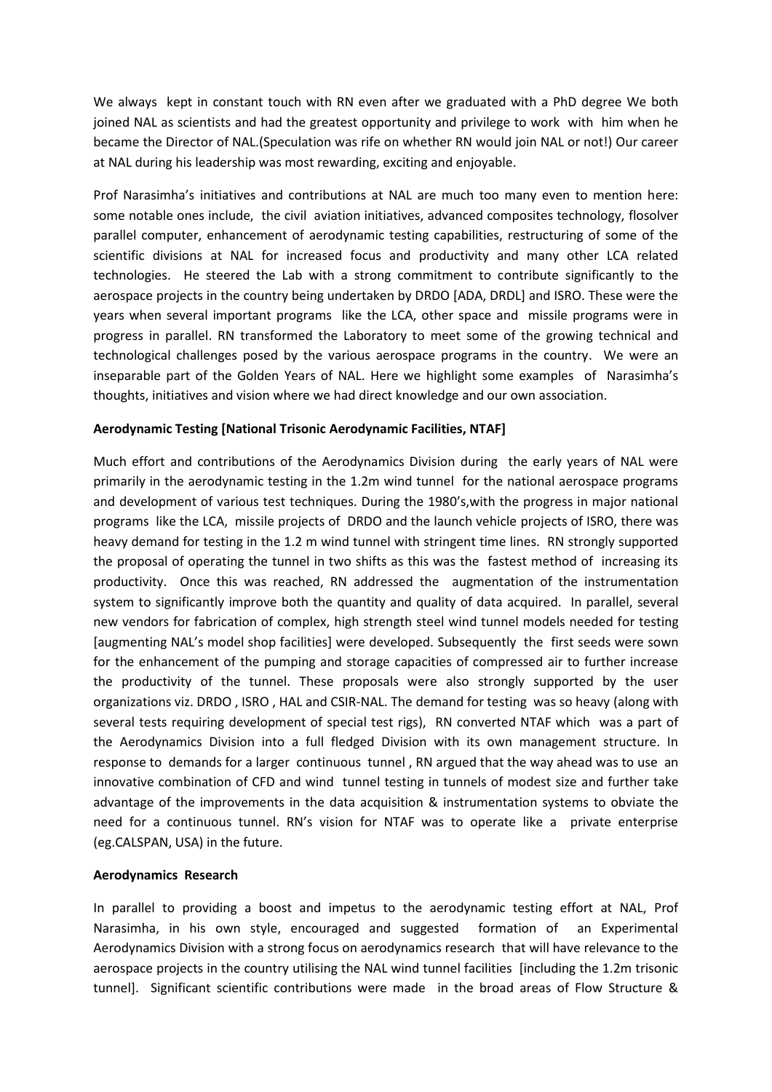We always kept in constant touch with RN even after we graduated with a PhD degree We both joined NAL as scientists and had the greatest opportunity and privilege to work with him when he became the Director of NAL.(Speculation was rife on whether RN would join NAL or not!) Our career at NAL during his leadership was most rewarding, exciting and enjoyable.

Prof Narasimha's initiatives and contributions at NAL are much too many even to mention here: some notable ones include, the civil aviation initiatives, advanced composites technology, flosolver parallel computer, enhancement of aerodynamic testing capabilities, restructuring of some of the scientific divisions at NAL for increased focus and productivity and many other LCA related technologies. He steered the Lab with a strong commitment to contribute significantly to the aerospace projects in the country being undertaken by DRDO [ADA, DRDL] and ISRO. These were the years when several important programs like the LCA, other space and missile programs were in progress in parallel. RN transformed the Laboratory to meet some of the growing technical and technological challenges posed by the various aerospace programs in the country. We were an inseparable part of the Golden Years of NAL. Here we highlight some examples of Narasimha's thoughts, initiatives and vision where we had direct knowledge and our own association.

## **Aerodynamic Testing [National Trisonic Aerodynamic Facilities, NTAF]**

Much effort and contributions of the Aerodynamics Division during the early years of NAL were primarily in the aerodynamic testing in the 1.2m wind tunnel for the national aerospace programs and development of various test techniques. During the 1980's,with the progress in major national programs like the LCA, missile projects of DRDO and the launch vehicle projects of ISRO, there was heavy demand for testing in the 1.2 m wind tunnel with stringent time lines. RN strongly supported the proposal of operating the tunnel in two shifts as this was the fastest method of increasing its productivity. Once this was reached, RN addressed the augmentation of the instrumentation system to significantly improve both the quantity and quality of data acquired. In parallel, several new vendors for fabrication of complex, high strength steel wind tunnel models needed for testing [augmenting NAL's model shop facilities] were developed. Subsequently the first seeds were sown for the enhancement of the pumping and storage capacities of compressed air to further increase the productivity of the tunnel. These proposals were also strongly supported by the user organizations viz. DRDO , ISRO , HAL and CSIR-NAL. The demand for testing was so heavy (along with several tests requiring development of special test rigs), RN converted NTAF which was a part of the Aerodynamics Division into a full fledged Division with its own management structure. In response to demands for a larger continuous tunnel , RN argued that the way ahead was to use an innovative combination of CFD and wind tunnel testing in tunnels of modest size and further take advantage of the improvements in the data acquisition & instrumentation systems to obviate the need for a continuous tunnel. RN's vision for NTAF was to operate like a private enterprise (eg.CALSPAN, USA) in the future.

## **Aerodynamics Research**

In parallel to providing a boost and impetus to the aerodynamic testing effort at NAL, Prof Narasimha, in his own style, encouraged and suggested formation of an Experimental Aerodynamics Division with a strong focus on aerodynamics research that will have relevance to the aerospace projects in the country utilising the NAL wind tunnel facilities [including the 1.2m trisonic tunnel]. Significant scientific contributions were made in the broad areas of Flow Structure &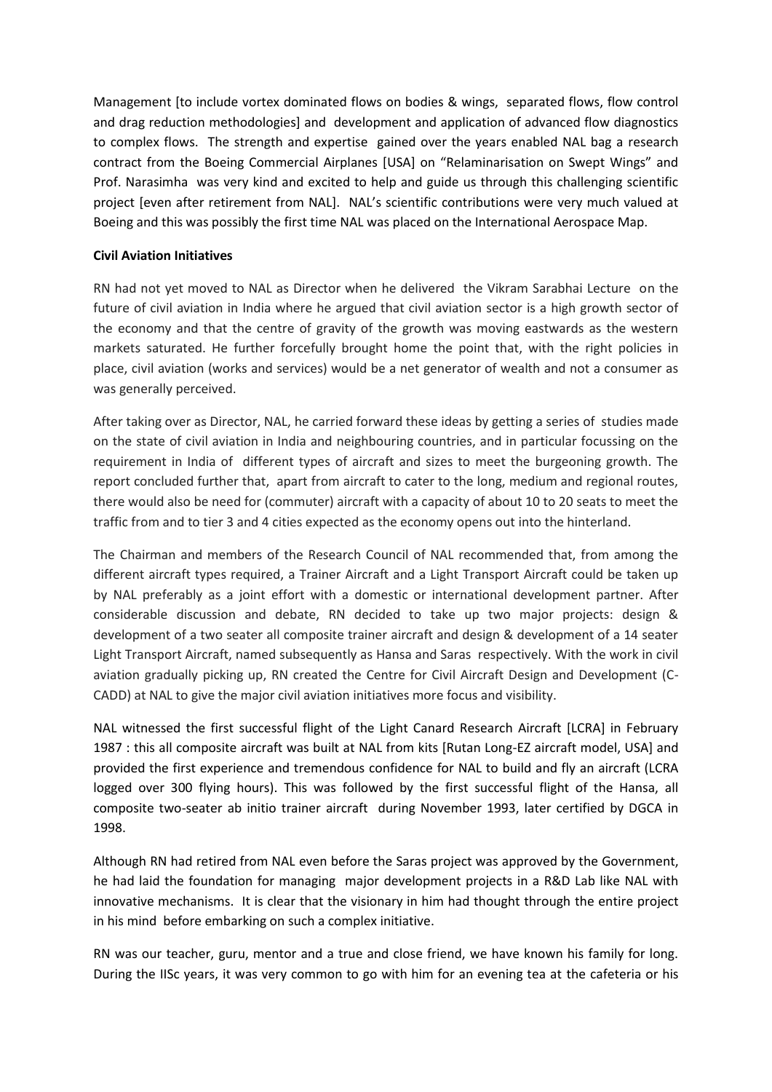Management [to include vortex dominated flows on bodies & wings, separated flows, flow control and drag reduction methodologies] and development and application of advanced flow diagnostics to complex flows. The strength and expertise gained over the years enabled NAL bag a research contract from the Boeing Commercial Airplanes [USA] on "Relaminarisation on Swept Wings" and Prof. Narasimha was very kind and excited to help and guide us through this challenging scientific project [even after retirement from NAL]. NAL's scientific contributions were very much valued at Boeing and this was possibly the first time NAL was placed on the International Aerospace Map.

## **Civil Aviation Initiatives**

RN had not yet moved to NAL as Director when he delivered the Vikram Sarabhai Lecture on the future of civil aviation in India where he argued that civil aviation sector is a high growth sector of the economy and that the centre of gravity of the growth was moving eastwards as the western markets saturated. He further forcefully brought home the point that, with the right policies in place, civil aviation (works and services) would be a net generator of wealth and not a consumer as was generally perceived.

After taking over as Director, NAL, he carried forward these ideas by getting a series of studies made on the state of civil aviation in India and neighbouring countries, and in particular focussing on the requirement in India of different types of aircraft and sizes to meet the burgeoning growth. The report concluded further that, apart from aircraft to cater to the long, medium and regional routes, there would also be need for (commuter) aircraft with a capacity of about 10 to 20 seats to meet the traffic from and to tier 3 and 4 cities expected as the economy opens out into the hinterland.

The Chairman and members of the Research Council of NAL recommended that, from among the different aircraft types required, a Trainer Aircraft and a Light Transport Aircraft could be taken up by NAL preferably as a joint effort with a domestic or international development partner. After considerable discussion and debate, RN decided to take up two major projects: design & development of a two seater all composite trainer aircraft and design & development of a 14 seater Light Transport Aircraft, named subsequently as Hansa and Saras respectively. With the work in civil aviation gradually picking up, RN created the Centre for Civil Aircraft Design and Development (C-CADD) at NAL to give the major civil aviation initiatives more focus and visibility.

NAL witnessed the first successful flight of the Light Canard Research Aircraft [LCRA] in February 1987 : this all composite aircraft was built at NAL from kits [Rutan Long-EZ aircraft model, USA] and provided the first experience and tremendous confidence for NAL to build and fly an aircraft (LCRA logged over 300 flying hours). This was followed by the first successful flight of the Hansa, all composite two-seater ab initio trainer aircraft during November 1993, later certified by DGCA in 1998.

Although RN had retired from NAL even before the Saras project was approved by the Government, he had laid the foundation for managing major development projects in a R&D Lab like NAL with innovative mechanisms. It is clear that the visionary in him had thought through the entire project in his mind before embarking on such a complex initiative.

RN was our teacher, guru, mentor and a true and close friend, we have known his family for long. During the IISc years, it was very common to go with him for an evening tea at the cafeteria or his